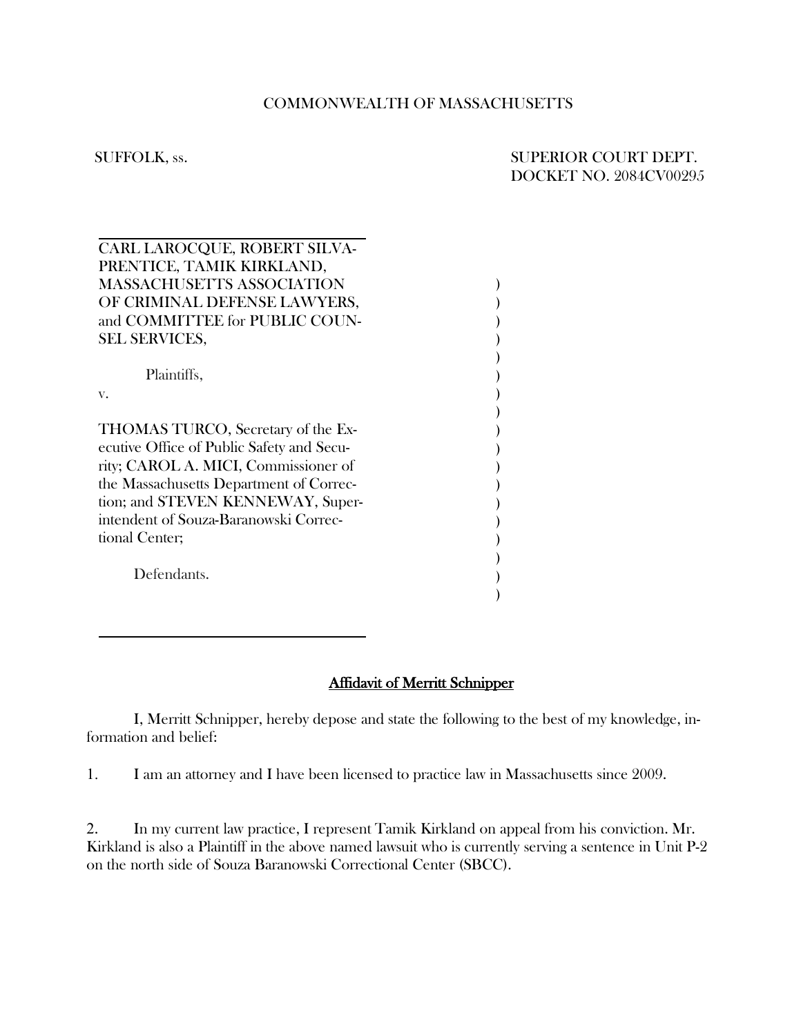## COMMONWEALTH OF MASSACHUSETTS

## SUFFOLK, ss. SUPERIOR COURT DEPT. DOCKET NO. 2084CV00295

| CARL LAROCQUE, ROBERT SILVA-              |  |
|-------------------------------------------|--|
| PRENTICE, TAMIK KIRKLAND,                 |  |
| <b>MASSACHUSETTS ASSOCIATION</b>          |  |
| OF CRIMINAL DEFENSE LAWYERS,              |  |
| and COMMITTEE for PUBLIC COUN-            |  |
| <b>SEL SERVICES,</b>                      |  |
|                                           |  |
| Plaintiffs,                               |  |
| V.                                        |  |
|                                           |  |
| THOMAS TURCO, Secretary of the Ex-        |  |
| ecutive Office of Public Safety and Secu- |  |
| rity; CAROL A. MICI, Commissioner of      |  |
| the Massachusetts Department of Correc-   |  |
| tion; and STEVEN KENNEWAY, Super-         |  |
| intendent of Souza-Baranowski Correc-     |  |
| tional Center;                            |  |
|                                           |  |
| Defendants.                               |  |
|                                           |  |
|                                           |  |

## Affidavit of Merritt Schnipper

I, Merritt Schnipper, hereby depose and state the following to the best of my knowledge, information and belief:

1. I am an attorney and I have been licensed to practice law in Massachusetts since 2009.

2. In my current law practice, I represent Tamik Kirkland on appeal from his conviction. Mr. Kirkland is also a Plaintiff in the above named lawsuit who is currently serving a sentence in Unit P-2 on the north side of Souza Baranowski Correctional Center (SBCC).